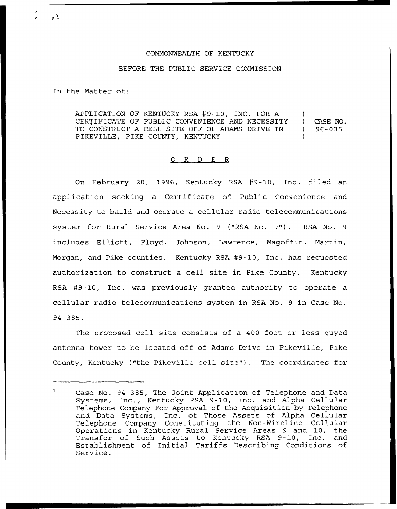## COMMONWEALTH OF KENTUCKY

## BEFORE THE PUBLIC SERVICE COMMISSION

In the Matter of:

 $\mathbf{r}$ 

APPLICATION OF KENTUCKY RSA #9-10, INC. FOR A CERTIFICATE OF PUBLIC CONVENIENCE AND NECESSITY TO CONSTRUCT A CELL SITE OFF OF ADAMS DRIVE IN PIKEVILLE, PIKE COUNTY, KENTUCKY  $\mathcal{L}$ ) CASE NO. ) 96-035 )

## 0 R <sup>D</sup> E R

On February 20, 1996, Kentucky RSA #9-10, Inc. filed an application seeking a Certificate of Public Convenience and Necessity to build and operate a cellular radio telecommunications system for Rural Service Area No. <sup>9</sup> ("RSA No. 9"). RSA No. <sup>9</sup> includes Elliott, Floyd, Johnson, Lawrence, Magoffin, Martin, Morgan, and Pike counties. Kentucky RSA #9-10, Inc. has requested authorization to construct a cell site in Pike County. Kentucky RSA #9-10, Inc. was previously granted authority to operate a cellular radio telecommunications system in RSA No. 9 in Case No.  $94 - 385.$ <sup>1</sup>

The proposed cell site consists of a 400-foot or less guyed antenna tower to be located off of Adams Drive in Pikeville, Pike County, Kentucky ("the Pikeville cell site") . The coordinates for

 $\mathbf{1}$ Case No. 94-385, The Joint Application of Telephone and Data Systems, Inc., Kentucky RSA 9-10, Inc. and Alpha Cellular Telephone Company For Approval of the Acquisition by Telephone and Data Systems, Inc. of Those Assets of Alpha Cellular Telephone Company Constituting the Non-Nireline Cellular Operations in Kentucky Rural Service Areas 9 and 10, the Transfer of Such Assets to Kentucky RSA 9-10, Inc. and Establishment of Initial Tariffs Describing Conditions of Service.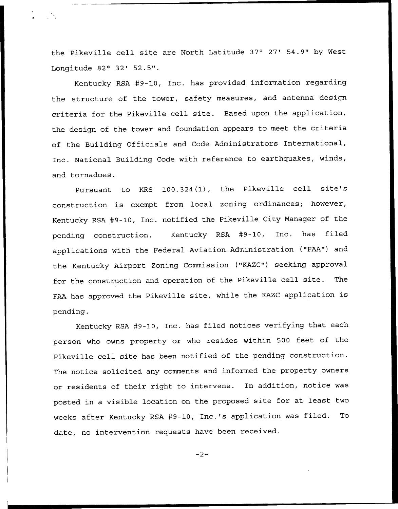the Pikeville cell site are North Latitude 37° 27' 54.9" by West Longitude 82° 32' 52.5".

Kentucky RSA #9-10, Inc. has provided information regarding the structure of the tower, safety measures, and antenna design criteria for the Pikeville cell site. Based upon the application, the design of the tower and foundation appears to meet the criteria of the Building Officials and. Code Administrators International, Inc. National Building Code with reference to earthquakes, winds, and tornadoes.

Pursuant to KRS 100.324(1), the Pikeville cell site's construction is exempt from local zoning ordinances; however, Kentucky RSA #9-10, Inc. notified the Pikeville City Manager of the pending construction. Kentucky RSA 49-10, Inc. has filed applications with the Federal Aviation Administration ("FAA") and the Kentucky Airport Zoning Commission ("KAZC") seeking approval for the construction and operation of the Pikeville cell site. The FAA has approved the Pikeville site, while the KAZC application is pending.

Kentucky RSA 49-10, Inc. has filed notices verifying that each person who owns property or who resides within 500 feet of the Pikeville cell site has been notified of the pending construction. The notice solicited any comments and informed the property owners or residents of their right to intervene. In addition, notice was posted in <sup>a</sup> visible location on the proposed site for at least two weeks after Kentucky RSA #9-10, Inc.'s application was filed. To date, no intervention requests have been received.

 $-2-$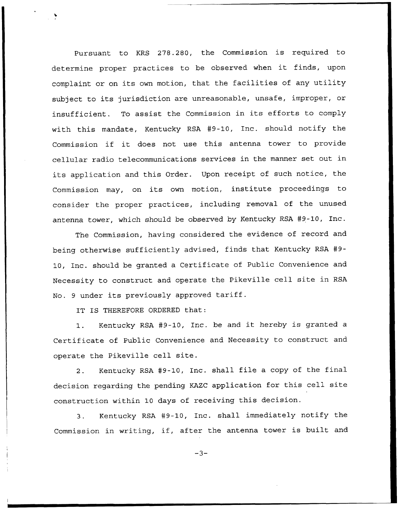Pursuant to KRS 278.280, the Commission is required to determine proper practices to be observed when it finds, upon complaint or on its own motion, that the facilities of any utility subject to its jurisdiction are unreasonable, unsafe, improper, or insufficient. To assist the Commission in its efforts to comply with this mandate, Kentucky RSA 49-10, Inc. should notify the Commission if it does not use this antenna tower to provide cellular radio telecommunications services in the manner set out in its application and this Order. Upon receipt of such notice, the Commission may, on its own motion, institute proceedings to consider the proper practices, including removal of the unused antenna tower, which should be observed by Kentucky RSA #9-10, Inc.

The Commission, having considered the evidence of record and being otherwise sufficiently advised, finds that Kentucky RSA 49- 10, Inc. should be granted a Certificate of Public Convenience and Necessity to construct and operate the Pikeville cell site in RSA No. <sup>9</sup> under its previously approved tariff.

IT IS THEREFORE ORDERED that:

1. Kentucky RSA #9-10, Inc. be and it hereby is granted a Certificate of Public Convenience and Necessity to construct and operate the Pikeville cell site.

2. Kentucky RSA #9-10, Inc. shall file a copy of the final decision regarding the pending KAZC application for this cell site construction within 10 days of receiving this decision.

3. Kentucky RSA 49-10, Inc. shall immediately notify the Commission in writing, if, after the antenna tower is built and

 $-3-$